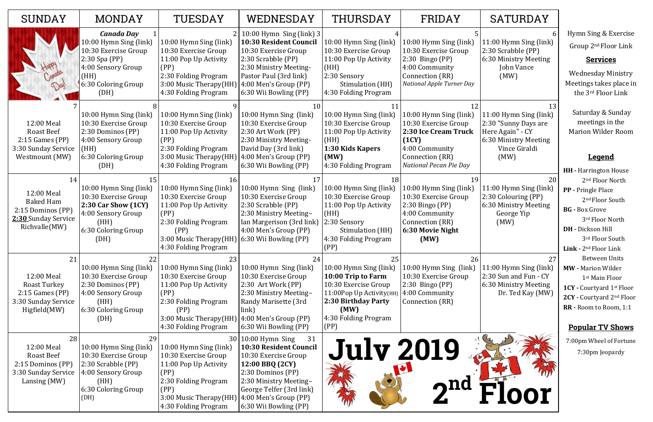13

11:00 Hymn Sing (link) 2:30 "Sunny Days are Here Again" - CY 6:30 Ministry Meeting Vince Giraldi (MW)

| <b>SUNDAY</b>                                                                                       | <b>MONDAY</b>                                                                                                                                       | TUESDAY                                                                                                                                                                                          | WEDNESDAY                                                                                                                                                                                                                           | <b>THURSDAY</b>                                                                                                                                                       | FRIDAY                                                                                                                                         | SATURDAY                                                                                                            |
|-----------------------------------------------------------------------------------------------------|-----------------------------------------------------------------------------------------------------------------------------------------------------|--------------------------------------------------------------------------------------------------------------------------------------------------------------------------------------------------|-------------------------------------------------------------------------------------------------------------------------------------------------------------------------------------------------------------------------------------|-----------------------------------------------------------------------------------------------------------------------------------------------------------------------|------------------------------------------------------------------------------------------------------------------------------------------------|---------------------------------------------------------------------------------------------------------------------|
|                                                                                                     | <b>Canada Day</b><br>10:00 Hymn Sing (link)<br>10:30 Exercise Group<br>$2:30$ Spa (PP)<br>4:00 Sensory Group<br>(HH)<br>6:30 Coloring Group<br>(DH) | 10:00 Hymn Sing (link)<br>10:30 Exercise Group<br>11:00 Pop Up Activity<br>(PP)<br>2:30 Folding Program<br>3:00 Music Therapy(HH)<br>4:30 Folding Program                                        | $2 \mid 10:00$ Hymn Sing (link) 3<br>10:30 Resident Council<br>10:30 Exercise Group<br>2:30 Scrabble (PP)<br>2:30 Ministry Meeting-<br>Pastor Paul (3rd link)<br>4:00 Men's Group (PP)<br>6:30 Wii Bowling (PP)                     | 10:00 Hymn Sing (link)<br>10:30 Exercise Group<br>11:00 Pop Up Activity<br>(HH)<br>2:30 Sensory<br>Stimulation (HH)<br>4:30 Folding Program                           | 10:00 Hymn Sing (link)<br>10:30 Exercise Group<br>$2:30$ Bingo (PP)<br>4:00 Community<br>Connection (RR)<br><b>National Apple Turner Day</b>   | 11:00 Hymn Sing (linl<br>2:30 Scrabble (PP)<br>6:30 Ministry Meeting<br>John Vance<br>(MW)                          |
| 12:00 Meal<br><b>Roast Beef</b><br>$2:15$ Games (PP)<br>3:30 Sunday Service<br>Westmount (MW)       | 10:00 Hymn Sing (link)<br>10:30 Exercise Group<br>2:30 Dominos (PP)<br>4:00 Sensory Group<br>(HH)<br>6:30 Coloring Group<br>(DH)                    | 10:00 Hymn Sing (link)<br>10:30 Exercise Group<br>11:00 Pop Up Activity<br>(PP)<br>2:30 Folding Program<br>3:00 Music Therapy(HH<br>4:30 Folding Program                                         | 10<br>10:00 Hymn Sing (link)<br>10:30 Exercise Group<br>2:30 Art Work (PP)<br>2:30 Ministry Meeting-<br>David Day (3rd link)<br>4:00 Men's Group (PP)<br>6:30 Wii Bowling (PP)                                                      | 10:00 Hymn Sing (link)<br>10:30 Exercise Group<br>11:00 Pop Up Activity<br>(HH)<br>1:30 Kids Kapers<br>(MW)<br>4:30 Folding Program                                   | 10:00 Hymn Sing (link)<br>10:30 Exercise Group<br>2:30 Ice Cream Truck<br>(1CY)<br>4:00 Community<br>Connection (RR)<br>National Pecan Pie Day | 11:00 Hymn Sing (linl<br>2:30 "Sunny Days are<br>Here Again" - CY<br>6:30 Ministry Meeting<br>Vince Giraldi<br>(MW) |
| 14<br>12:00 Meal<br><b>Baked Ham</b><br>2:15 Dominos (PP)<br>2:30 Sunday Service<br>Richvalle(MW)   | 10:00 Hymn Sing (link)<br>10:30 Exercise Group<br>2:30 Car Show (1CY)<br>4:00 Sensory Group<br>(HH)<br>6:30 Coloring Group<br>(DH)                  | 10:00 Hymn Sing (link)<br>10:30 Exercise Group<br>11:00 Pop Up Activity<br>(PP)<br>2:30 Folding Program<br>(PP)<br>3:00 Music Therapy(HH) 6:30 Wii Bowling (PP)<br>4:30 Folding Program          | 10:00 Hymn Sing (link)<br>10:30 Exercise Group<br>2:30 Scrabble (PP)<br>2:30 Ministry Meeting-<br>Ian Margerison (3rd link)<br>4:00 Men's Group (PP)                                                                                | 10:00 Hymn Sing (link)<br>10:30 Exercise Group<br>11:00 Pop Up Activity<br>(HH)<br>2:30 Sensory<br>Stimulation (HH)<br>4:30 Folding Program<br>(PP)                   | 10:00 Hymn Sing (link)<br>10:30 Exercise Group<br>$2:30$ Bingo (PP)<br>4:00 Community<br>Connection (RR)<br>6:30 Movie Night<br>(MW)           | 11:00 Hymn Sing (linl<br>2:30 Colouring (PP)<br>6:30 Ministry Meeting<br>George Yip<br>(MW)                         |
| 21<br>12:00 Meal<br><b>Roast Turkey</b><br>$2:15$ Games (PP)<br>3:30 Sunday Service<br>Higfield(MW) | 22<br>10:00 Hymn Sing (link)<br>10:30 Exercise Group<br>2:30 Dominos (PP)<br>4:00 Sensory Group<br>(HH)<br>6:30 Coloring Group<br>(DH)              | 23<br>10:00 Hymn Sing (link)<br>10:30 Exercise Group<br>11:00 Pop Up Activity<br>(PP)<br>2:30 Folding Program<br>(PP)<br>3:00 Music Therapy(HH) $ 4:00$ Men's Group (PP)<br>4:30 Folding Program | 24<br>10:00 Hymn Sing (link)<br>10:30 Exercise Group<br>2:30 Art Work (PP)<br>2:30 Ministry Meeting-<br>Randy Marisette (3rd<br>link)<br>6:30 Wii Bowling (PP)                                                                      | 25<br>10:00 Hymn Sing (link)<br>10:00 Trip to Farm<br>10:30 Exercise Group<br>11:00Pop Up Activity(HH)<br>2:30 Birthday Party<br>(MW)<br>4:30 Folding Program<br>(PP) | 26<br>10:00 Hymn Sing (link)<br>10:30 Exercise Group<br>$2:30$ Bingo (PP)<br>4:00 Community<br>Connection (RR)                                 | 11:00 Hymn Sing (linl<br>2:30 Sun and Fun - CY<br>6:30 Ministry Meeting<br>Dr. Ted Kay (MW                          |
| 28<br>12:00 Meal<br><b>Roast Beef</b><br>2:15 Dominos (PP)<br>3:30 Sunday Service<br>Lansing (MW)   | 29<br>10:00 Hymn Sing (link)<br>10:30 Exercise Group<br>2:30 Scrabble (PP)<br>4:00 Sensory Group<br>(HH)<br>6:30 Coloring Group<br>(DH)             | 10:00 Hymn Sing (link)<br>10:30 Exercise Group<br>11:00 Pop Up Activity<br>(PP)<br>2:30 Folding Program<br>(PP)<br>3:00 Music Therapy(HH)<br>4:30 Folding Program                                | $30 10:00$ Hymn Sing<br>31<br><b>10:30 Resident Council</b><br>10:30 Exercise Group<br>12:00 BBQ (2CY)<br>2:30 Dominos (PP)<br>2:30 Ministry Meeting-<br>George Telfer (3rd link)<br>4:00 Men's Group (PP)<br>6:30 Wii Bowling (PP) | <b>July 2019</b>                                                                                                                                                      | ma                                                                                                                                             | OI                                                                                                                  |

| SATURDAY |
|----------|
|          |

20

11:00 Hymn Sing (link) 2:30 Colouring (PP) 6:30 Ministry Meeting George Yip (MW)

27

11:00 Hymn Sing (link) 2:30 Sun and Fun - CY 6:30 Ministry Meeting Dr. Ted Kay (MW) Hymn Sing & Exercise Group 2nd Floor Link

## **Services**

Wednesday Ministry Meetings takes place in the 3rd Floor Link

Saturday & Sunday meetings in the Marion Wilder Room

## **Legend**

- **HH -** Harrington House 2nd Floor North
- **PP -** Pringle Place 2<sup>nd</sup> Floor South
- **BG -** Box Grove 3rd Floor North
- **DH -** Dickson Hill 3rd Floor South
- **Link -** 2nd Floor Link Between Units
- **MW -** Marion Wilder 1st Main Floor
- **1CY -** Courtyard 1st Floor
- **2CY -** Courtyard 2nd Floor
- **RR -** Room to Room, 1:1

## **Popular TV Shows**

7:00pm Wheel of Fortune 7:30pm Jeopardy